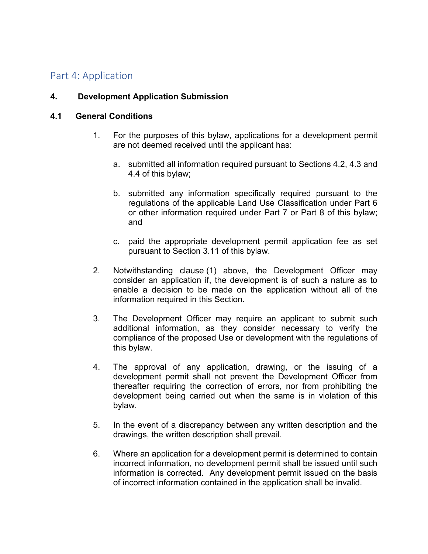# Part 4: Application

#### **4. Development Application Submission**

#### **4.1 General Conditions**

- 1. For the purposes of this bylaw, applications for a development permit are not deemed received until the applicant has:
	- a. submitted all information required pursuant to Sections 4.2, 4.3 and 4.4 of this bylaw;
	- b. submitted any information specifically required pursuant to the regulations of the applicable Land Use Classification under Part 6 or other information required under Part 7 or Part 8 of this bylaw; and
	- c. paid the appropriate development permit application fee as set pursuant to Section 3.11 of this bylaw.
- 2. Notwithstanding clause (1) above, the Development Officer may consider an application if, the development is of such a nature as to enable a decision to be made on the application without all of the information required in this Section.
- 3. The Development Officer may require an applicant to submit such additional information, as they consider necessary to verify the compliance of the proposed Use or development with the regulations of this bylaw.
- 4. The approval of any application, drawing, or the issuing of a development permit shall not prevent the Development Officer from thereafter requiring the correction of errors, nor from prohibiting the development being carried out when the same is in violation of this bylaw.
- 5. In the event of a discrepancy between any written description and the drawings, the written description shall prevail.
- 6. Where an application for a development permit is determined to contain incorrect information, no development permit shall be issued until such information is corrected. Any development permit issued on the basis of incorrect information contained in the application shall be invalid.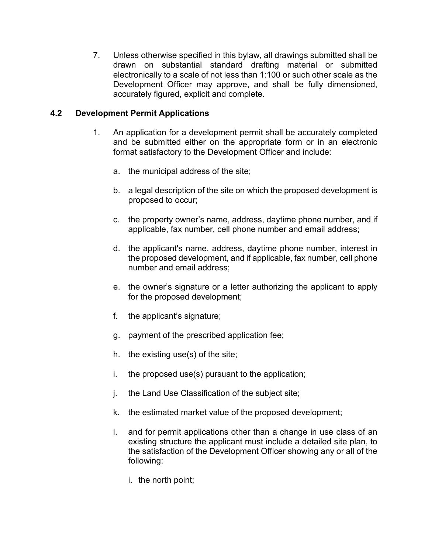7. Unless otherwise specified in this bylaw, all drawings submitted shall be drawn on substantial standard drafting material or submitted electronically to a scale of not less than 1:100 or such other scale as the Development Officer may approve, and shall be fully dimensioned, accurately figured, explicit and complete.

#### **4.2 Development Permit Applications**

- 1. An application for a development permit shall be accurately completed and be submitted either on the appropriate form or in an electronic format satisfactory to the Development Officer and include:
	- a. the municipal address of the site;
	- b. a legal description of the site on which the proposed development is proposed to occur;
	- c. the property owner's name, address, daytime phone number, and if applicable, fax number, cell phone number and email address;
	- d. the applicant's name, address, daytime phone number, interest in the proposed development, and if applicable, fax number, cell phone number and email address;
	- e. the owner's signature or a letter authorizing the applicant to apply for the proposed development;
	- f. the applicant's signature;
	- g. payment of the prescribed application fee;
	- h. the existing use(s) of the site;
	- i. the proposed use(s) pursuant to the application;
	- j. the Land Use Classification of the subject site;
	- k. the estimated market value of the proposed development;
	- l. and for permit applications other than a change in use class of an existing structure the applicant must include a detailed site plan, to the satisfaction of the Development Officer showing any or all of the following:
		- i. the north point;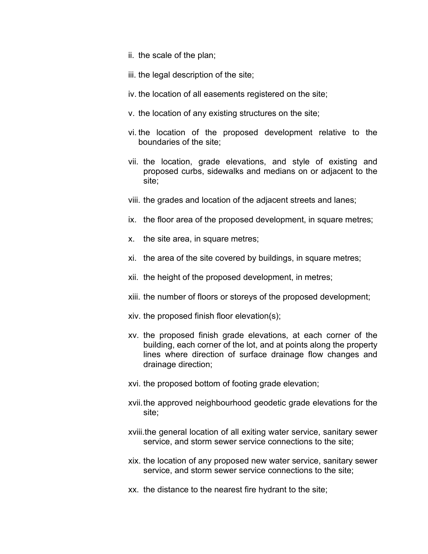- ii. the scale of the plan;
- iii. the legal description of the site;
- iv. the location of all easements registered on the site;
- v. the location of any existing structures on the site;
- vi. the location of the proposed development relative to the boundaries of the site;
- vii. the location, grade elevations, and style of existing and proposed curbs, sidewalks and medians on or adjacent to the site;
- viii. the grades and location of the adjacent streets and lanes;
- ix. the floor area of the proposed development, in square metres;
- x. the site area, in square metres;
- xi. the area of the site covered by buildings, in square metres;
- xii. the height of the proposed development, in metres;
- xiii. the number of floors or storeys of the proposed development;
- xiv. the proposed finish floor elevation(s);
- xv. the proposed finish grade elevations, at each corner of the building, each corner of the lot, and at points along the property lines where direction of surface drainage flow changes and drainage direction;
- xvi. the proposed bottom of footing grade elevation;
- xvii.the approved neighbourhood geodetic grade elevations for the site;
- xviii.the general location of all exiting water service, sanitary sewer service, and storm sewer service connections to the site;
- xix. the location of any proposed new water service, sanitary sewer service, and storm sewer service connections to the site;
- xx. the distance to the nearest fire hydrant to the site;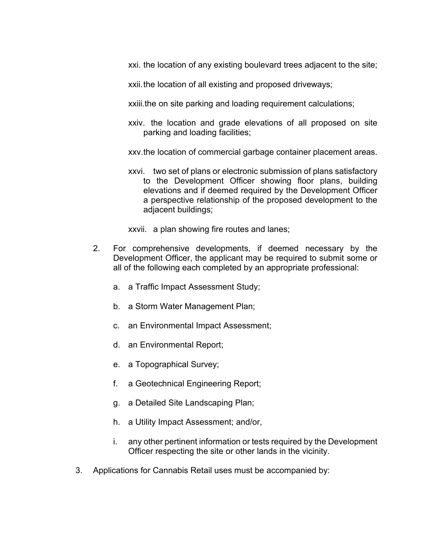xxi. the location of any existing boulevard trees adjacent to the site;

xxii.the location of all existing and proposed driveways;

xxiii.the on site parking and loading requirement calculations;

xxiv. the location and grade elevations of all proposed on site parking and loading facilities;

xxv.the location of commercial garbage container placement areas.

xxvi. two set of plans or electronic submission of plans satisfactory to the Development Officer showing floor plans, building elevations and if deemed required by the Development Officer a perspective relationship of the proposed development to the adjacent buildings;

xxvii. a plan showing fire routes and lanes;

- 2. For comprehensive developments, if deemed necessary by the Development Officer, the applicant may be required to submit some or all of the following each completed by an appropriate professional:
	- a. a Traffic Impact Assessment Study;
	- b. a Storm Water Management Plan;
	- c. an Environmental Impact Assessment;
	- d. an Environmental Report;
	- e. a Topographical Survey;
	- f. a Geotechnical Engineering Report;
	- g. a Detailed Site Landscaping Plan;
	- h. a Utility Impact Assessment; and/or,
	- i. any other pertinent information or tests required by the Development Officer respecting the site or other lands in the vicinity.
- 3. Applications for Cannabis Retail uses must be accompanied by: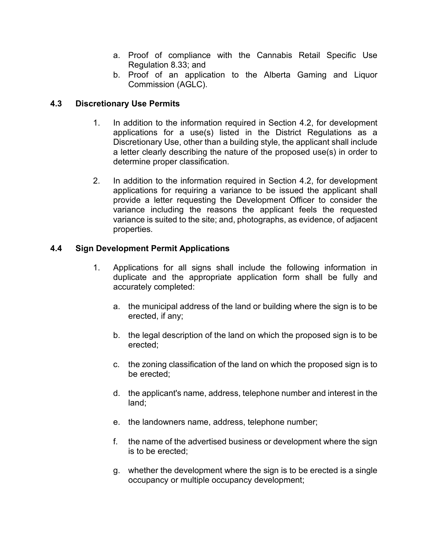- a. Proof of compliance with the Cannabis Retail Specific Use Regulation 8.33; and
- b. Proof of an application to the Alberta Gaming and Liquor Commission (AGLC).

# **4.3 Discretionary Use Permits**

- 1. In addition to the information required in Section 4.2, for development applications for a use(s) listed in the District Regulations as a Discretionary Use, other than a building style, the applicant shall include a letter clearly describing the nature of the proposed use(s) in order to determine proper classification.
- 2. In addition to the information required in Section 4.2, for development applications for requiring a variance to be issued the applicant shall provide a letter requesting the Development Officer to consider the variance including the reasons the applicant feels the requested variance is suited to the site; and, photographs, as evidence, of adjacent properties.

# **4.4 Sign Development Permit Applications**

- 1. Applications for all signs shall include the following information in duplicate and the appropriate application form shall be fully and accurately completed:
	- a. the municipal address of the land or building where the sign is to be erected, if any;
	- b. the legal description of the land on which the proposed sign is to be erected;
	- c. the zoning classification of the land on which the proposed sign is to be erected;
	- d. the applicant's name, address, telephone number and interest in the land;
	- e. the landowners name, address, telephone number;
	- f. the name of the advertised business or development where the sign is to be erected;
	- g. whether the development where the sign is to be erected is a single occupancy or multiple occupancy development;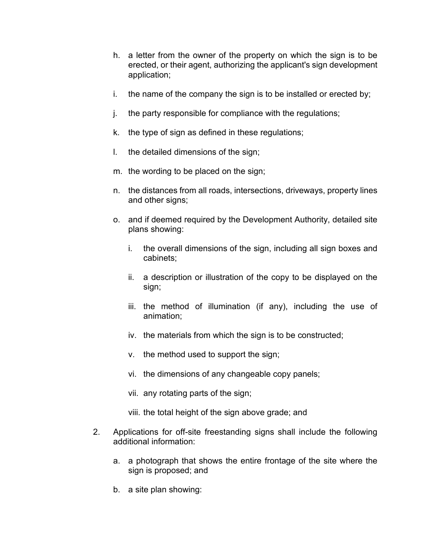- h. a letter from the owner of the property on which the sign is to be erected, or their agent, authorizing the applicant's sign development application;
- i. the name of the company the sign is to be installed or erected by;
- j. the party responsible for compliance with the regulations;
- k. the type of sign as defined in these regulations;
- l. the detailed dimensions of the sign;
- m. the wording to be placed on the sign;
- n. the distances from all roads, intersections, driveways, property lines and other signs;
- o. and if deemed required by the Development Authority, detailed site plans showing:
	- i. the overall dimensions of the sign, including all sign boxes and cabinets;
	- ii. a description or illustration of the copy to be displayed on the sign;
	- iii. the method of illumination (if any), including the use of animation;
	- iv. the materials from which the sign is to be constructed;
	- v. the method used to support the sign;
	- vi. the dimensions of any changeable copy panels;
	- vii. any rotating parts of the sign;
	- viii. the total height of the sign above grade; and
- 2. Applications for off-site freestanding signs shall include the following additional information:
	- a. a photograph that shows the entire frontage of the site where the sign is proposed; and
	- b. a site plan showing: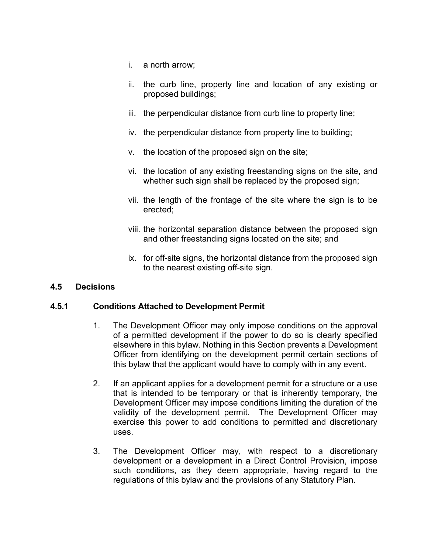- i. a north arrow;
- ii. the curb line, property line and location of any existing or proposed buildings;
- iii. the perpendicular distance from curb line to property line;
- iv. the perpendicular distance from property line to building;
- v. the location of the proposed sign on the site;
- vi. the location of any existing freestanding signs on the site, and whether such sign shall be replaced by the proposed sign;
- vii. the length of the frontage of the site where the sign is to be erected;
- viii. the horizontal separation distance between the proposed sign and other freestanding signs located on the site; and
- ix. for off-site signs, the horizontal distance from the proposed sign to the nearest existing off-site sign.

#### **4.5 Decisions**

#### **4.5.1 Conditions Attached to Development Permit**

- 1. The Development Officer may only impose conditions on the approval of a permitted development if the power to do so is clearly specified elsewhere in this bylaw. Nothing in this Section prevents a Development Officer from identifying on the development permit certain sections of this bylaw that the applicant would have to comply with in any event.
- 2. If an applicant applies for a development permit for a structure or a use that is intended to be temporary or that is inherently temporary, the Development Officer may impose conditions limiting the duration of the validity of the development permit. The Development Officer may exercise this power to add conditions to permitted and discretionary uses.
- 3. The Development Officer may, with respect to a discretionary development or a development in a Direct Control Provision, impose such conditions, as they deem appropriate, having regard to the regulations of this bylaw and the provisions of any Statutory Plan.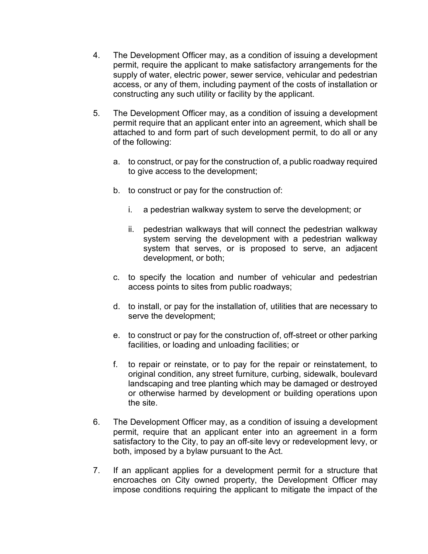- 4. The Development Officer may, as a condition of issuing a development permit, require the applicant to make satisfactory arrangements for the supply of water, electric power, sewer service, vehicular and pedestrian access, or any of them, including payment of the costs of installation or constructing any such utility or facility by the applicant.
- 5. The Development Officer may, as a condition of issuing a development permit require that an applicant enter into an agreement, which shall be attached to and form part of such development permit, to do all or any of the following:
	- a. to construct, or pay for the construction of, a public roadway required to give access to the development;
	- b. to construct or pay for the construction of:
		- i. a pedestrian walkway system to serve the development; or
		- ii. pedestrian walkways that will connect the pedestrian walkway system serving the development with a pedestrian walkway system that serves, or is proposed to serve, an adjacent development, or both;
	- c. to specify the location and number of vehicular and pedestrian access points to sites from public roadways;
	- d. to install, or pay for the installation of, utilities that are necessary to serve the development;
	- e. to construct or pay for the construction of, off-street or other parking facilities, or loading and unloading facilities; or
	- f. to repair or reinstate, or to pay for the repair or reinstatement, to original condition, any street furniture, curbing, sidewalk, boulevard landscaping and tree planting which may be damaged or destroyed or otherwise harmed by development or building operations upon the site.
- 6. The Development Officer may, as a condition of issuing a development permit, require that an applicant enter into an agreement in a form satisfactory to the City, to pay an off-site levy or redevelopment levy, or both, imposed by a bylaw pursuant to the Act.
- 7. If an applicant applies for a development permit for a structure that encroaches on City owned property, the Development Officer may impose conditions requiring the applicant to mitigate the impact of the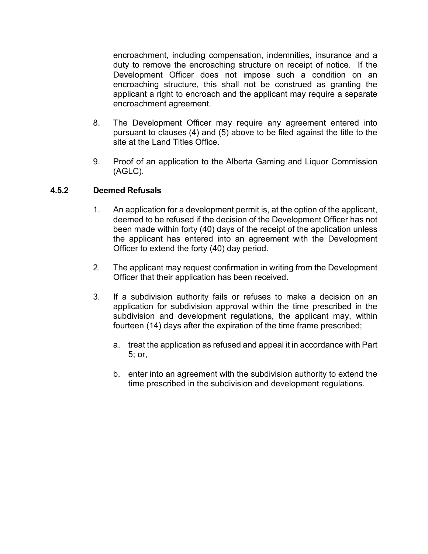encroachment, including compensation, indemnities, insurance and a duty to remove the encroaching structure on receipt of notice. If the Development Officer does not impose such a condition on an encroaching structure, this shall not be construed as granting the applicant a right to encroach and the applicant may require a separate encroachment agreement.

- 8. The Development Officer may require any agreement entered into pursuant to clauses (4) and (5) above to be filed against the title to the site at the Land Titles Office.
- 9. Proof of an application to the Alberta Gaming and Liquor Commission (AGLC).

#### **4.5.2 Deemed Refusals**

- 1. An application for a development permit is, at the option of the applicant, deemed to be refused if the decision of the Development Officer has not been made within forty (40) days of the receipt of the application unless the applicant has entered into an agreement with the Development Officer to extend the forty (40) day period.
- 2. The applicant may request confirmation in writing from the Development Officer that their application has been received.
- 3. If a subdivision authority fails or refuses to make a decision on an application for subdivision approval within the time prescribed in the subdivision and development regulations, the applicant may, within fourteen (14) days after the expiration of the time frame prescribed;
	- a. treat the application as refused and appeal it in accordance with Part 5; or,
	- b. enter into an agreement with the subdivision authority to extend the time prescribed in the subdivision and development regulations.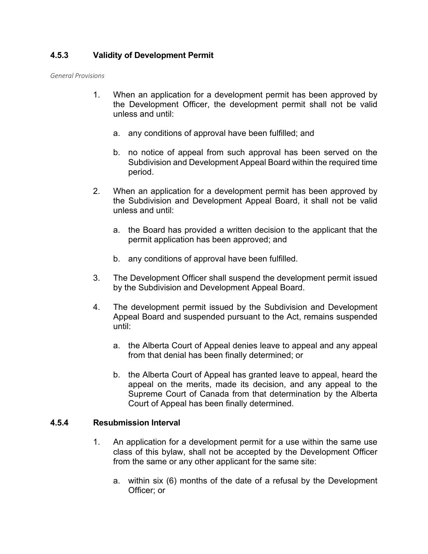# **4.5.3 Validity of Development Permit**

*General Provisions*

- 1. When an application for a development permit has been approved by the Development Officer, the development permit shall not be valid unless and until:
	- a. any conditions of approval have been fulfilled; and
	- b. no notice of appeal from such approval has been served on the Subdivision and Development Appeal Board within the required time period.
- 2. When an application for a development permit has been approved by the Subdivision and Development Appeal Board, it shall not be valid unless and until:
	- a. the Board has provided a written decision to the applicant that the permit application has been approved; and
	- b. any conditions of approval have been fulfilled.
- 3. The Development Officer shall suspend the development permit issued by the Subdivision and Development Appeal Board.
- 4. The development permit issued by the Subdivision and Development Appeal Board and suspended pursuant to the Act, remains suspended until:
	- a. the Alberta Court of Appeal denies leave to appeal and any appeal from that denial has been finally determined; or
	- b. the Alberta Court of Appeal has granted leave to appeal, heard the appeal on the merits, made its decision, and any appeal to the Supreme Court of Canada from that determination by the Alberta Court of Appeal has been finally determined.

#### **4.5.4 Resubmission Interval**

- 1. An application for a development permit for a use within the same use class of this bylaw, shall not be accepted by the Development Officer from the same or any other applicant for the same site:
	- a. within six (6) months of the date of a refusal by the Development Officer; or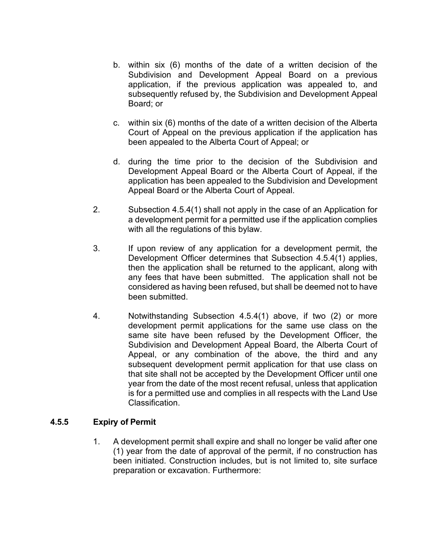- b. within six (6) months of the date of a written decision of the Subdivision and Development Appeal Board on a previous application, if the previous application was appealed to, and subsequently refused by, the Subdivision and Development Appeal Board; or
- c. within six (6) months of the date of a written decision of the Alberta Court of Appeal on the previous application if the application has been appealed to the Alberta Court of Appeal; or
- d. during the time prior to the decision of the Subdivision and Development Appeal Board or the Alberta Court of Appeal, if the application has been appealed to the Subdivision and Development Appeal Board or the Alberta Court of Appeal.
- 2. Subsection 4.5.4(1) shall not apply in the case of an Application for a development permit for a permitted use if the application complies with all the regulations of this bylaw.
- 3. If upon review of any application for a development permit, the Development Officer determines that Subsection 4.5.4(1) applies, then the application shall be returned to the applicant, along with any fees that have been submitted. The application shall not be considered as having been refused, but shall be deemed not to have been submitted.
- 4. Notwithstanding Subsection 4.5.4(1) above, if two (2) or more development permit applications for the same use class on the same site have been refused by the Development Officer, the Subdivision and Development Appeal Board, the Alberta Court of Appeal, or any combination of the above, the third and any subsequent development permit application for that use class on that site shall not be accepted by the Development Officer until one year from the date of the most recent refusal, unless that application is for a permitted use and complies in all respects with the Land Use **Classification**

#### **4.5.5 Expiry of Permit**

1. A development permit shall expire and shall no longer be valid after one (1) year from the date of approval of the permit, if no construction has been initiated. Construction includes, but is not limited to, site surface preparation or excavation. Furthermore: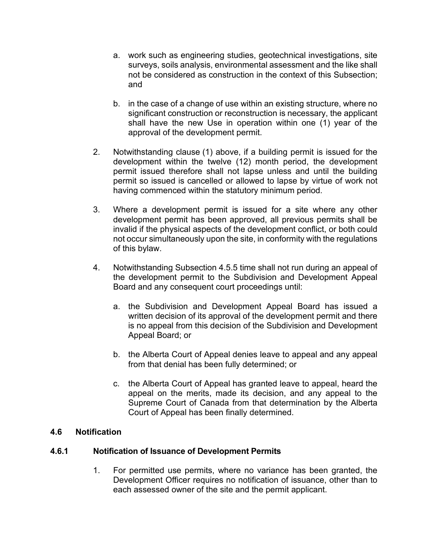- a. work such as engineering studies, geotechnical investigations, site surveys, soils analysis, environmental assessment and the like shall not be considered as construction in the context of this Subsection; and
- b. in the case of a change of use within an existing structure, where no significant construction or reconstruction is necessary, the applicant shall have the new Use in operation within one (1) year of the approval of the development permit.
- 2. Notwithstanding clause (1) above, if a building permit is issued for the development within the twelve (12) month period, the development permit issued therefore shall not lapse unless and until the building permit so issued is cancelled or allowed to lapse by virtue of work not having commenced within the statutory minimum period.
- 3. Where a development permit is issued for a site where any other development permit has been approved, all previous permits shall be invalid if the physical aspects of the development conflict, or both could not occur simultaneously upon the site, in conformity with the regulations of this bylaw.
- 4. Notwithstanding Subsection 4.5.5 time shall not run during an appeal of the development permit to the Subdivision and Development Appeal Board and any consequent court proceedings until:
	- a. the Subdivision and Development Appeal Board has issued a written decision of its approval of the development permit and there is no appeal from this decision of the Subdivision and Development Appeal Board; or
	- b. the Alberta Court of Appeal denies leave to appeal and any appeal from that denial has been fully determined; or
	- c. the Alberta Court of Appeal has granted leave to appeal, heard the appeal on the merits, made its decision, and any appeal to the Supreme Court of Canada from that determination by the Alberta Court of Appeal has been finally determined.

#### **4.6 Notification**

#### **4.6.1 Notification of Issuance of Development Permits**

1. For permitted use permits, where no variance has been granted, the Development Officer requires no notification of issuance, other than to each assessed owner of the site and the permit applicant.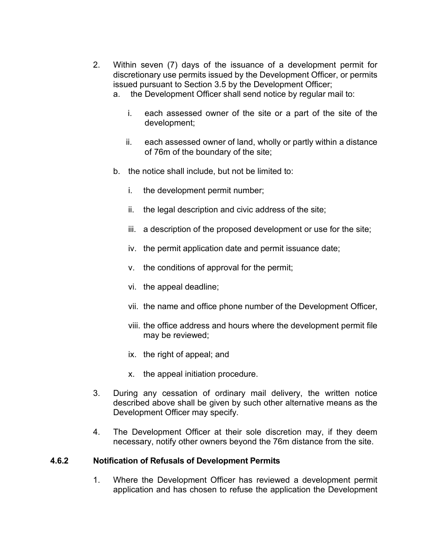- 2. Within seven (7) days of the issuance of a development permit for discretionary use permits issued by the Development Officer, or permits issued pursuant to Section 3.5 by the Development Officer;
	- a. the Development Officer shall send notice by regular mail to:
		- i. each assessed owner of the site or a part of the site of the development;
		- ii. each assessed owner of land, wholly or partly within a distance of 76m of the boundary of the site;
	- b. the notice shall include, but not be limited to:
		- i. the development permit number;
		- ii. the legal description and civic address of the site;
		- iii. a description of the proposed development or use for the site;
		- iv. the permit application date and permit issuance date;
		- v. the conditions of approval for the permit;
		- vi. the appeal deadline;
		- vii. the name and office phone number of the Development Officer,
		- viii. the office address and hours where the development permit file may be reviewed;
		- ix. the right of appeal; and
		- x. the appeal initiation procedure.
- 3. During any cessation of ordinary mail delivery, the written notice described above shall be given by such other alternative means as the Development Officer may specify.
- 4. The Development Officer at their sole discretion may, if they deem necessary, notify other owners beyond the 76m distance from the site.

#### **4.6.2 Notification of Refusals of Development Permits**

1. Where the Development Officer has reviewed a development permit application and has chosen to refuse the application the Development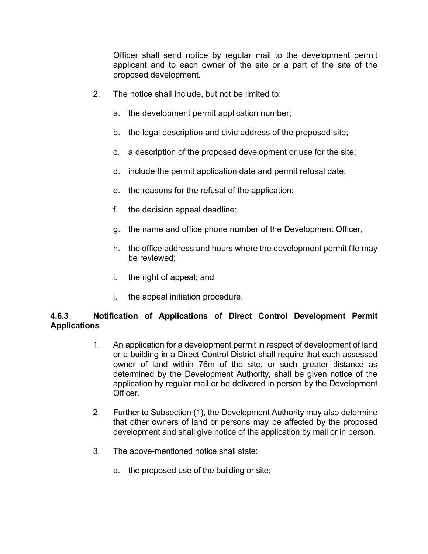Officer shall send notice by regular mail to the development permit applicant and to each owner of the site or a part of the site of the proposed development.

- 2. The notice shall include, but not be limited to:
	- a. the development permit application number;
	- b. the legal description and civic address of the proposed site;
	- c. a description of the proposed development or use for the site;
	- d. include the permit application date and permit refusal date;
	- e. the reasons for the refusal of the application;
	- f. the decision appeal deadline;
	- g. the name and office phone number of the Development Officer,
	- h. the office address and hours where the development permit file may be reviewed;
	- i. the right of appeal; and
	- j. the appeal initiation procedure.

# **4.6.3 Notification of Applications of Direct Control Development Permit Applications**

- 1. An application for a development permit in respect of development of land or a building in a Direct Control District shall require that each assessed owner of land within 76m of the site, or such greater distance as determined by the Development Authority, shall be given notice of the application by regular mail or be delivered in person by the Development Officer.
- 2. Further to Subsection (1), the Development Authority may also determine that other owners of land or persons may be affected by the proposed development and shall give notice of the application by mail or in person.
- 3. The above-mentioned notice shall state:
	- a. the proposed use of the building or site;